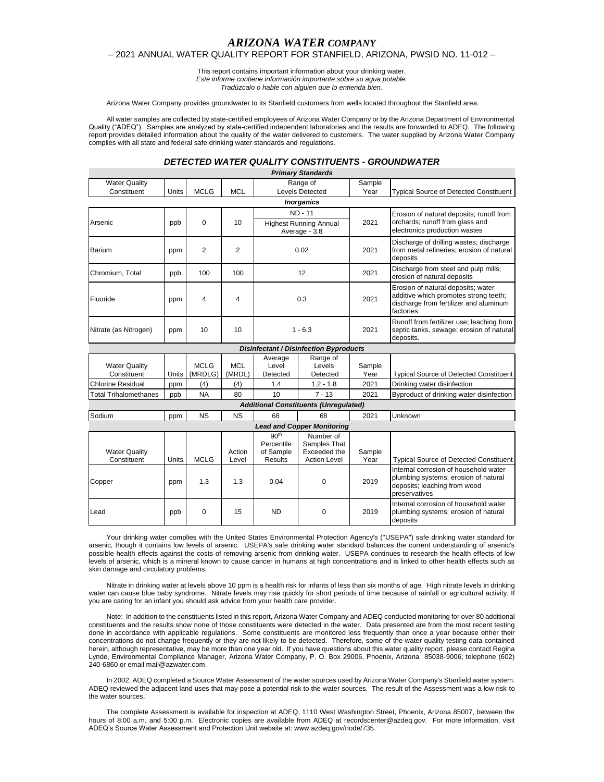# *ARIZONA WATER COMPANY*

## – 2021 ANNUAL WATER QUALITY REPORT FOR STANFIELD, ARIZONA, PWSID NO. 11-012 –

This report contains important information about your drinking water. *Este informe contiene información importante sobre su agua potable. Tradúzcalo o hable con alguien que lo entienda bien.*

Arizona Water Company provides groundwater to its Stanfield customers from wells located throughout the Stanfield area.

All water samples are collected by state-certified employees of Arizona Water Company or by the Arizona Department of Environmental Quality ("ADEQ"). Samples are analyzed by state-certified independent laboratories and the results are forwarded to ADEQ. The following report provides detailed information about the quality of the water delivered to customers. The water supplied by Arizona Water Company complies with all state and federal safe drinking water standards and regulations.

### *DETECTED WATER QUALITY CONSTITUENTS - GROUNDWATER*

|                                     |       |                        |                      |                               | <b>Primary Standards</b>                      |                |                                                                                                                                    |
|-------------------------------------|-------|------------------------|----------------------|-------------------------------|-----------------------------------------------|----------------|------------------------------------------------------------------------------------------------------------------------------------|
| <b>Water Quality</b>                |       |                        |                      | Range of                      |                                               | Sample         |                                                                                                                                    |
| Constituent                         | Units | <b>MCLG</b>            | <b>MCL</b>           |                               | <b>Levels Detected</b>                        | Year           | <b>Typical Source of Detected Constituent</b>                                                                                      |
|                                     |       |                        |                      |                               | <b>Inorganics</b>                             |                |                                                                                                                                    |
|                                     |       |                        |                      | <b>ND - 11</b>                |                                               |                | Erosion of natural deposits; runoff from                                                                                           |
| Arsenic                             | ppb   | 0                      | 10                   | <b>Highest Running Annual</b> |                                               | 2021           | orchards; runoff from glass and                                                                                                    |
|                                     |       |                        |                      | Average - 3.8                 |                                               |                | electronics production wastes                                                                                                      |
| Barium                              | ppm   | 2                      | 2                    | 0.02                          |                                               | 2021           | Discharge of drilling wastes; discharge<br>from metal refineries; erosion of natural<br>deposits                                   |
| Chromium, Total                     | ppb   | 100                    | 100                  | 12                            |                                               | 2021           | Discharge from steel and pulp mills;<br>erosion of natural deposits                                                                |
| Fluoride                            | ppm   | 4                      | 4                    | 0.3                           |                                               | 2021           | Erosion of natural deposits; water<br>additive which promotes strong teeth;<br>discharge from fertilizer and aluminum<br>factories |
| Nitrate (as Nitrogen)               | ppm   | 10                     | 10                   | $1 - 6.3$                     |                                               | 2021           | Runoff from fertilizer use; leaching from<br>septic tanks, sewage; erosion of natural<br>deposits.                                 |
|                                     |       |                        |                      |                               | <b>Disinfectant / Disinfection Byproducts</b> |                |                                                                                                                                    |
|                                     |       |                        |                      | Average                       | Range of                                      |                |                                                                                                                                    |
| <b>Water Quality</b><br>Constituent | Units | <b>MCLG</b><br>(MRDLG) | <b>MCL</b><br>(MRDL) | Level<br>Detected             | Levels<br>Detected                            | Sample<br>Year | <b>Typical Source of Detected Constituent</b>                                                                                      |
| <b>Chlorine Residual</b>            | ppm   | (4)                    | (4)                  | 1.4                           | $1.2 - 1.8$                                   | 2021           | Drinking water disinfection                                                                                                        |
| <b>Total Trihalomethanes</b>        | ppb   | <b>NA</b>              | 80                   | 10                            | $7 - 13$                                      | 2021           | Byproduct of drinking water disinfection                                                                                           |
|                                     |       |                        |                      |                               | <b>Additional Constituents (Unregulated)</b>  |                |                                                                                                                                    |
| Sodium                              | ppm   | <b>NS</b>              | <b>NS</b>            | 68                            | 68                                            | 2021           | Unknown                                                                                                                            |
|                                     |       |                        |                      |                               | <b>Lead and Copper Monitoring</b>             |                |                                                                                                                                    |
|                                     |       |                        |                      | 90 <sup>th</sup>              | Number of                                     |                |                                                                                                                                    |
|                                     |       |                        |                      | Percentile                    | Samples That                                  |                |                                                                                                                                    |
| <b>Water Quality</b>                |       |                        | Action               | of Sample                     | Exceeded the                                  | Sample         |                                                                                                                                    |
| Constituent                         | Units | <b>MCLG</b>            | Level                | <b>Results</b>                | <b>Action Level</b>                           | Year           | <b>Typical Source of Detected Constituent</b>                                                                                      |
| Copper                              | ppm   | 1.3                    | 1.3                  | 0.04                          | $\Omega$                                      | 2019           | Internal corrosion of household water<br>plumbing systems; erosion of natural<br>deposits; leaching from wood<br>preservatives     |
| Lead                                | ppb   | 0                      | 15                   | <b>ND</b>                     | $\Omega$                                      | 2019           | Internal corrosion of household water<br>plumbing systems; erosion of natural<br>deposits                                          |

Your drinking water complies with the United States Environmental Protection Agency's ("USEPA") safe drinking water standard for arsenic, though it contains low levels of arsenic. USEPA's safe drinking water standard balances the current understanding of arsenic's possible health effects against the costs of removing arsenic from drinking water. USEPA continues to research the health effects of low levels of arsenic, which is a mineral known to cause cancer in humans at high concentrations and is linked to other health effects such as skin damage and circulatory problems.

Nitrate in drinking water at levels above 10 ppm is a health risk for infants of less than six months of age. High nitrate levels in drinking water can cause blue baby syndrome. Nitrate levels may rise quickly for short periods of time because of rainfall or agricultural activity. If you are caring for an infant you should ask advice from your health care provider.

Note: In addition to the constituents listed in this report, Arizona Water Company and ADEQ conducted monitoring for over 80 additional constituents and the results show none of those constituents were detected in the water. Data presented are from the most recent testing done in accordance with applicable regulations. Some constituents are monitored less frequently than once a year because either their concentrations do not change frequently or they are not likely to be detected. Therefore, some of the water quality testing data contained herein, although representative, may be more than one year old. If you have questions about this water quality report, please contact Regina Lynde, Environmental Compliance Manager, Arizona Water Company, P. O. Box 29006, Phoenix, Arizona 85038-9006; telephone (602) 240-6860 or email mail@azwater.com.

In 2002, ADEQ completed a Source Water Assessment of the water sources used by Arizona Water Company's Stanfield water system. ADEQ reviewed the adjacent land uses that may pose a potential risk to the water sources. The result of the Assessment was a low risk to the water sources.

The complete Assessment is available for inspection at ADEQ, 1110 West Washington Street, Phoenix, Arizona 85007, between the hours of 8:00 a.m. and 5:00 p.m. Electronic copies are available from ADEQ at recordscenter@azdeq.gov. For more information, visit ADEQ's Source Water Assessment and Protection Unit website at: www.azdeq.gov/node/735.